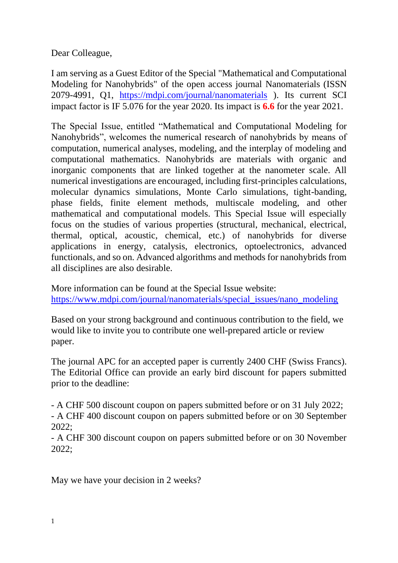Dear Colleague,

I am serving as a Guest Editor of the Special "Mathematical and Computational Modeling for Nanohybrids" of the open access journal Nanomaterials (ISSN 2079-4991, Q1, <https://mdpi.com/journal/nanomaterials> ). Its current SCI impact factor is IF 5.076 for the year 2020. Its impact is **6.6** for the year 2021.

The Special Issue, entitled "Mathematical and Computational Modeling for Nanohybrids", welcomes the numerical research of nanohybrids by means of computation, numerical analyses, modeling, and the interplay of modeling and computational mathematics. Nanohybrids are materials with organic and inorganic components that are linked together at the nanometer scale. All numerical investigations are encouraged, including first-principles calculations, molecular dynamics simulations, Monte Carlo simulations, tight-banding, phase fields, finite element methods, multiscale modeling, and other mathematical and computational models. This Special Issue will especially focus on the studies of various properties (structural, mechanical, electrical, thermal, optical, acoustic, chemical, etc.) of nanohybrids for diverse applications in energy, catalysis, electronics, optoelectronics, advanced functionals, and so on. Advanced algorithms and methods for nanohybrids from all disciplines are also desirable.

More information can be found at the Special Issue website: [https://www.mdpi.com/journal/nanomaterials/special\\_issues/nano\\_modeling](https://www.mdpi.com/journal/nanomaterials/special_issues/nano_modeling)

Based on your strong background and continuous contribution to the field, we would like to invite you to contribute one well-prepared article or review paper.

The journal APC for an accepted paper is currently 2400 CHF (Swiss Francs). The Editorial Office can provide an early bird discount for papers submitted prior to the deadline:

- A CHF 500 discount coupon on papers submitted before or on 31 July 2022; - A CHF 400 discount coupon on papers submitted before or on 30 September 2022;

- A CHF 300 discount coupon on papers submitted before or on 30 November 2022;

May we have your decision in 2 weeks?